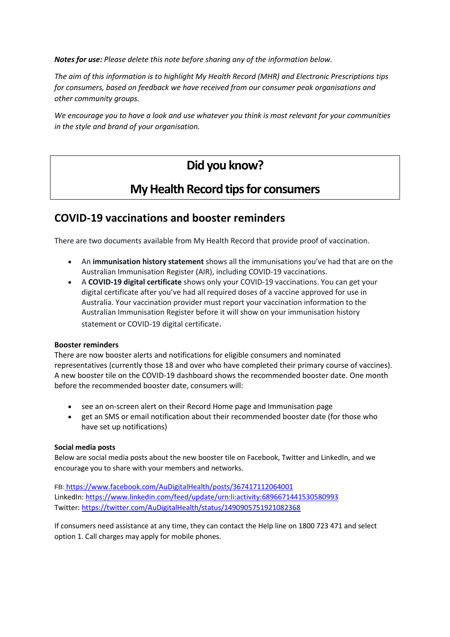*Notes for use: Please delete this note before sharing any of the information below.* 

*The aim of this information is to highlight My Health Record (MHR) and Electronic Prescriptions tips for consumers, based on feedback we have received from our consumer peak organisations and other community groups.* 

*We encourage you to have a look and use whatever you think is most relevant for your communities in the style and brand of your organisation.* 

## **Did you know?**

## **My Health Record tips for consumers**

### **COVID-19 vaccinations and booster reminders**

There are two documents available from My Health Record that provide proof of vaccination.

- An **immunisation history statement** shows all the immunisations you've had that are on the Australian Immunisation Register (AIR), including COVID-19 vaccinations.
- A **COVID-19 digital certificate** shows only your COVID-19 vaccinations. You can get your digital certificate after you've had all required doses of a vaccine approved for use in Australia. Your vaccination provider must report your vaccination information to the Australian Immunisation Register before it will show on your immunisation history statement or COVID-19 digital certificate.

#### **Booster reminders**

There are now booster alerts and notifications for eligible consumers and nominated representatives (currently those 18 and over who have completed their primary course of vaccines). A new booster tile on the COVID-19 dashboard shows the recommended booster date. One month before the recommended booster date, consumers will:

- see an on-screen alert on their Record Home page and Immunisation page
- get an SMS or email notification about their recommended booster date (for those who have set up notifications)

#### **Social media posts**

Below are social media posts about the new booster tile on Facebook, Twitter and LinkedIn, and we encourage you to share with your members and networks.

FB: [https://www.facebook.com/AuDigitalHealth/posts/367417112064001](https://aus01.safelinks.protection.outlook.com/?url=https%3A%2F%2Felink.clickdimensions.com%2Fc%2F7%2FeyJhaSI6Mzc3Nzc5MjUsImUiOiJyb2J5bi5sb3dlQGRpZ2l0YWxoZWFsdGguZ292LmF1IiwicmkiOiJjb250YWN0LTFiMzdmNDg3NmFjNmU2MTE4MGVjYzQzNDZiYzRiZWYwLTRkMjM4MDQwMTBjNzRkYWM4Nzg1YzY4MGY0NTc0NmMyIiwicnEiOiIwMi1iMjIwNDAtYTQzZTQ0Y2JlZDFhNGZiYjgyZGY1ZTU0NTYxODFiMjAiLCJwaCI6bnVsbCwibSI6ZmFsc2UsInVpIjoiMSIsInVuIjoiIiwidSI6Imh0dHBzOi8vd3d3LmZhY2Vib29rLmNvbS9BdURpZ2l0YWxIZWFsdGgvcG9zdHMvMzY3NDE3MTEyMDY0MDAxP19jbGRlZT1jbTlpZVc0dWJHOTNaVUJrYVdkcGRHRnNhR1ZoYkhSb0xtZHZkaTVoZFElM2QlM2QmcmVjaXBpZW50aWQ9Y29udGFjdC0xYjM3ZjQ4NzZhYzZlNjExODBlY2M0MzQ2YmM0YmVmMC00ZDIzODA0MDEwYzc0ZGFjODc4NWM2ODBmNDU3NDZjMiZlc2lkPTJlOWU5MWFmLWZlODktZWMxMS04ZDIwLTAwMGQzYWQyM2Q1NSJ9%2FkH-JSP0VCMtlo3uYM8Zirw&data=04%7C01%7Crobyn.lowe%40digitalhealth.gov.au%7C3536805edb1244680b1b08d9ec2365ec%7C49c6971ed0164e1ab04195533ede53a1%7C0%7C0%7C637800459040714197%7CUnknown%7CTWFpbGZsb3d8eyJWIjoiMC4wLjAwMDAiLCJQIjoiV2luMzIiLCJBTiI6Ik1haWwiLCJXVCI6Mn0%3D%7C3000&sdata=pIDU9JATdM390auNLRTGsoIzJ57M%2BWrVG%2FsdtPKIyQ8%3D&reserved=0) LinkedIn: [https://www.linkedin.com/feed/update/urn:li:activity:6896671441530580993](https://aus01.safelinks.protection.outlook.com/?url=https%3A%2F%2Felink.clickdimensions.com%2Fc%2F7%2FeyJhaSI6Mzc3Nzc5MjUsImUiOiJyb2J5bi5sb3dlQGRpZ2l0YWxoZWFsdGguZ292LmF1IiwicmkiOiJjb250YWN0LTFiMzdmNDg3NmFjNmU2MTE4MGVjYzQzNDZiYzRiZWYwLTRkMjM4MDQwMTBjNzRkYWM4Nzg1YzY4MGY0NTc0NmMyIiwicnEiOiIwMi1iMjIwNDAtYTQzZTQ0Y2JlZDFhNGZiYjgyZGY1ZTU0NTYxODFiMjAiLCJwaCI6bnVsbCwibSI6ZmFsc2UsInVpIjoiMiIsInVuIjoiIiwidSI6Imh0dHBzOi8vd3d3LmxpbmtlZGluLmNvbS9mZWVkL3VwZGF0ZS91cm46bGk6YWN0aXZpdHk6Njg5NjY3MTQ0MTUzMDU4MDk5Mz9fY2xkZWU9Y205aWVXNHViRzkzWlVCa2FXZHBkR0ZzYUdWaGJIUm9MbWR2ZGk1aGRRJTNkJTNkJnJlY2lwaWVudGlkPWNvbnRhY3QtMWIzN2Y0ODc2YWM2ZTYxMTgwZWNjNDM0NmJjNGJlZjAtNGQyMzgwNDAxMGM3NGRhYzg3ODVjNjgwZjQ1NzQ2YzImZXNpZD0yZTllOTFhZi1mZTg5LWVjMTEtOGQyMC0wMDBkM2FkMjNkNTUifQ%2FbEJgtOfMRFQKhTsqQgOvPQ&data=04%7C01%7Crobyn.lowe%40digitalhealth.gov.au%7C3536805edb1244680b1b08d9ec2365ec%7C49c6971ed0164e1ab04195533ede53a1%7C0%7C0%7C637800459040714197%7CUnknown%7CTWFpbGZsb3d8eyJWIjoiMC4wLjAwMDAiLCJQIjoiV2luMzIiLCJBTiI6Ik1haWwiLCJXVCI6Mn0%3D%7C3000&sdata=01wX%2F1%2FbgDmDngkojgn8Pnv97%2BgfZ8%2BDXZSYl7wVIwI%3D&reserved=0) Twitter: [https://twitter.com/AuDigitalHealth/status/1490905751921082368](https://aus01.safelinks.protection.outlook.com/?url=https%3A%2F%2Felink.clickdimensions.com%2Fc%2F7%2FeyJhaSI6Mzc3Nzc5MjUsImUiOiJyb2J5bi5sb3dlQGRpZ2l0YWxoZWFsdGguZ292LmF1IiwicmkiOiJjb250YWN0LTFiMzdmNDg3NmFjNmU2MTE4MGVjYzQzNDZiYzRiZWYwLTRkMjM4MDQwMTBjNzRkYWM4Nzg1YzY4MGY0NTc0NmMyIiwicnEiOiIwMi1iMjIwNDAtYTQzZTQ0Y2JlZDFhNGZiYjgyZGY1ZTU0NTYxODFiMjAiLCJwaCI6bnVsbCwibSI6ZmFsc2UsInVpIjoiMyIsInVuIjoiIiwidSI6Imh0dHBzOi8vdHdpdHRlci5jb20vQXVEaWdpdGFsSGVhbHRoL3N0YXR1cy8xNDkwOTA1NzUxOTIxMDgyMzY4P19jbGRlZT1jbTlpZVc0dWJHOTNaVUJrYVdkcGRHRnNhR1ZoYkhSb0xtZHZkaTVoZFElM2QlM2QmcmVjaXBpZW50aWQ9Y29udGFjdC0xYjM3ZjQ4NzZhYzZlNjExODBlY2M0MzQ2YmM0YmVmMC00ZDIzODA0MDEwYzc0ZGFjODc4NWM2ODBmNDU3NDZjMiZlc2lkPTJlOWU5MWFmLWZlODktZWMxMS04ZDIwLTAwMGQzYWQyM2Q1NSJ9%2FPw1QMwjBvWP2lu9D5bfkWQ&data=04%7C01%7Crobyn.lowe%40digitalhealth.gov.au%7C3536805edb1244680b1b08d9ec2365ec%7C49c6971ed0164e1ab04195533ede53a1%7C0%7C0%7C637800459040714197%7CUnknown%7CTWFpbGZsb3d8eyJWIjoiMC4wLjAwMDAiLCJQIjoiV2luMzIiLCJBTiI6Ik1haWwiLCJXVCI6Mn0%3D%7C3000&sdata=zBnrEev5nVTQcDEBOfJWwN16ch73HUGghmQH8K%2B%2BN1A%3D&reserved=0)

If consumers need assistance at any time, they can contact the Help line on 1800 723 471 and select option 1. Call charges may apply for mobile phones.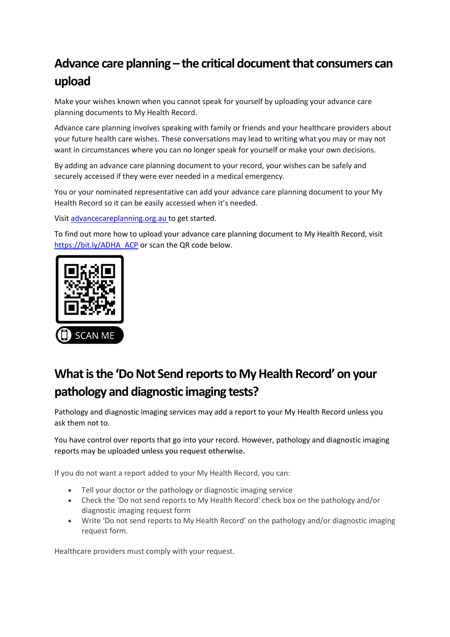# **Advance care planning – the critical document that consumers can upload**

Make your wishes known when you cannot speak for yourself by uploading your advance care planning documents to My Health Record.

Advance care planning involves speaking with family or friends and your healthcare providers about your future health care wishes. These conversations may lead to writing what you may or may not want in circumstances where you can no longer speak for yourself or make your own decisions.

By adding an advance care planning document to your record, your wishes can be safely and securely accessed if they were ever needed in a medical emergency.

You or your nominated representative can add your advance care planning document to your My Health Record so it can be easily accessed when it's needed.

Visit [advancecareplanning.org.au t](https://dhagency-my.sharepoint.com/personal/emma_black_digitalhealth_gov_au/Documents/Desktop/advancecareplanning.org.au)o get started.

To find out more how to upload your advance care planning document to My Health Record, visit [https://bit.ly/ADHA\\_ACP](https://bit.ly/ADHA_ACP) or scan the QR code below.



# **What is the 'Do Not Send reports to My Health Record' on your pathology and diagnostic imaging tests?**

Pathology and diagnostic imaging services may add a report to your My Health Record unless you ask them not to.

You have control over reports that go into your record. However, pathology and diagnostic imaging reports may be uploaded **unless you request otherwise.**

If you do not want a report added to your My Health Record, you can:

- Tell your doctor or the pathology or diagnostic imaging service
- Check the 'Do not send reports to My Health Record' check box on the pathology and/or diagnostic imaging request form
- Write 'Do not send reports to My Health Record' on the pathology and/or diagnostic imaging request form.

Healthcare providers must comply with your request.